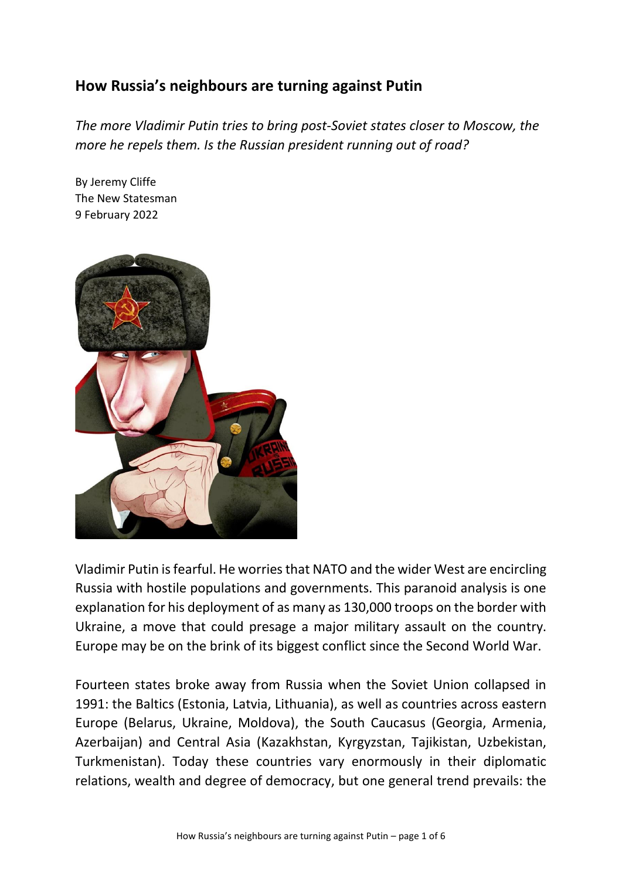## **How Russia's neighbours are turning against Putin**

*The more Vladimir Putin tries to bring post-Soviet states closer to Moscow, the more he repels them. Is the Russian president running out of road?*

By Jeremy Cliffe The New Statesman 9 February 2022



Vladimir Putin isfearful. He worries that NATO and the wider West are encircling Russia with hostile populations and governments. This paranoid analysis is one explanation for his deployment of as many as 130,000 troops on the border with Ukraine, a move that could presage a major military assault on the country. Europe may be on the brink of its biggest conflict since the Second World War.

Fourteen states broke away from Russia when the Soviet Union collapsed in 1991: the Baltics (Estonia, Latvia, Lithuania), as well as countries across eastern Europe (Belarus, Ukraine, Moldova), the South Caucasus (Georgia, Armenia, Azerbaijan) and Central Asia (Kazakhstan, Kyrgyzstan, Tajikistan, Uzbekistan, Turkmenistan). Today these countries vary enormously in their diplomatic relations, wealth and degree of democracy, but one general trend prevails: the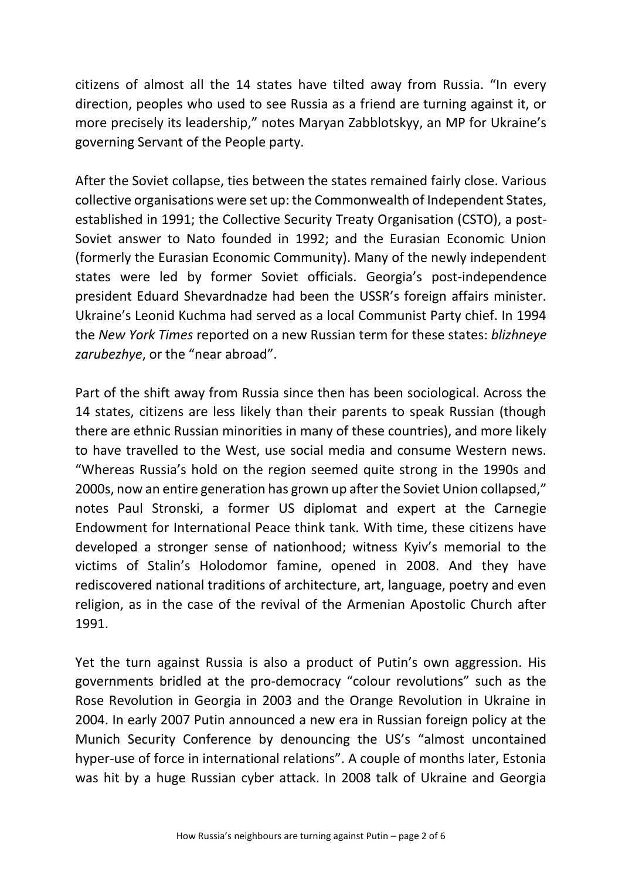citizens of almost all the 14 states have tilted away from Russia. "In every direction, peoples who used to see Russia as a friend are turning against it, or more precisely its leadership," notes Maryan Zabblotskyy, an MP for Ukraine's governing Servant of the People party.

After the Soviet collapse, ties between the states remained fairly close. Various collective organisations were set up: the Commonwealth of Independent States, established in 1991; the Collective Security Treaty Organisation (CSTO), a post-Soviet answer to Nato founded in 1992; and the Eurasian Economic Union (formerly the Eurasian Economic Community). Many of the newly independent states were led by former Soviet officials. Georgia's post-independence president Eduard Shevardnadze had been the USSR's foreign affairs minister. Ukraine's Leonid Kuchma had served as a local Communist Party chief. In 1994 the *New York Times* reported on a new Russian term for these states: *blizhneye zarubezhye*, or the "near abroad".

Part of the shift away from Russia since then has been sociological. Across the 14 states, citizens are less likely than their parents to speak Russian (though there are ethnic Russian minorities in many of these countries), and more likely to have travelled to the West, use social media and consume Western news. "Whereas Russia's hold on the region seemed quite strong in the 1990s and 2000s, now an entire generation has grown up after the Soviet Union collapsed," notes Paul Stronski, a former US diplomat and expert at the Carnegie Endowment for International Peace think tank. With time, these citizens have developed a stronger sense of nationhood; witness Kyiv's memorial to the victims of Stalin's Holodomor famine, opened in 2008. And they have rediscovered national traditions of architecture, art, language, poetry and even religion, as in the case of the revival of the Armenian Apostolic Church after 1991.

Yet the turn against Russia is also a product of Putin's own aggression. His governments bridled at the pro-democracy "colour revolutions" such as the Rose Revolution in Georgia in 2003 and the Orange Revolution in Ukraine in 2004. In early 2007 Putin announced a new era in Russian foreign policy at the Munich Security Conference by denouncing the US's "almost uncontained hyper-use of force in international relations". A couple of months later, Estonia was hit by a huge Russian cyber attack. In 2008 talk of Ukraine and Georgia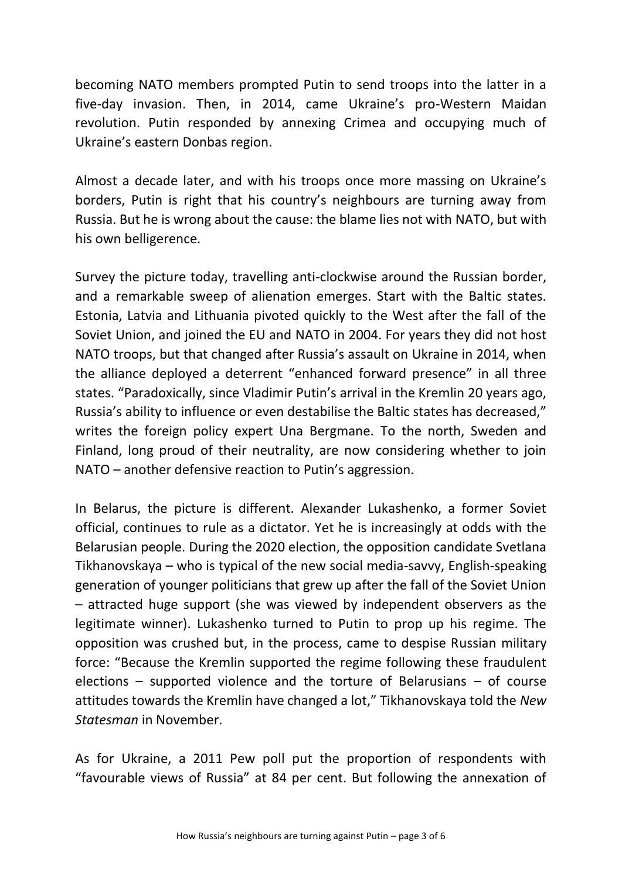becoming NATO members prompted Putin to send troops into the latter in a five-day invasion. Then, in 2014, came Ukraine's pro-Western Maidan revolution. Putin responded by annexing Crimea and occupying much of Ukraine's eastern Donbas region.

Almost a decade later, and with his troops once more massing on Ukraine's borders, Putin is right that his country's neighbours are turning away from Russia. But he is wrong about the cause: the blame lies not with NATO, but with his own belligerence.

Survey the picture today, travelling anti-clockwise around the Russian border, and a remarkable sweep of alienation emerges. Start with the Baltic states. Estonia, Latvia and Lithuania pivoted quickly to the West after the fall of the Soviet Union, and joined the EU and NATO in 2004. For years they did not host NATO troops, but that changed after Russia's assault on Ukraine in 2014, when the alliance deployed a deterrent "enhanced forward presence" in all three states. "Paradoxically, since Vladimir Putin's arrival in the Kremlin 20 years ago, Russia's ability to influence or even destabilise the Baltic states has decreased," writes the foreign policy expert Una Bergmane. To the north, Sweden and Finland, long proud of their neutrality, are now considering whether to join NATO – another defensive reaction to Putin's aggression.

In Belarus, the picture is different. Alexander Lukashenko, a former Soviet official, continues to rule as a dictator. Yet he is increasingly at odds with the Belarusian people. During the 2020 election, the opposition candidate Svetlana Tikhanovskaya – who is typical of the new social media-savvy, English-speaking generation of younger politicians that grew up after the fall of the Soviet Union – attracted huge support (she was viewed by independent observers as the legitimate winner). Lukashenko turned to Putin to prop up his regime. The opposition was crushed but, in the process, came to despise Russian military force: "Because the Kremlin supported the regime following these fraudulent elections – supported violence and the torture of Belarusians – of course attitudes towards the Kremlin have changed a lot," Tikhanovskaya told the *New Statesman* in November.

As for Ukraine, a 2011 Pew poll put the proportion of respondents with "favourable views of Russia" at 84 per cent. But following the annexation of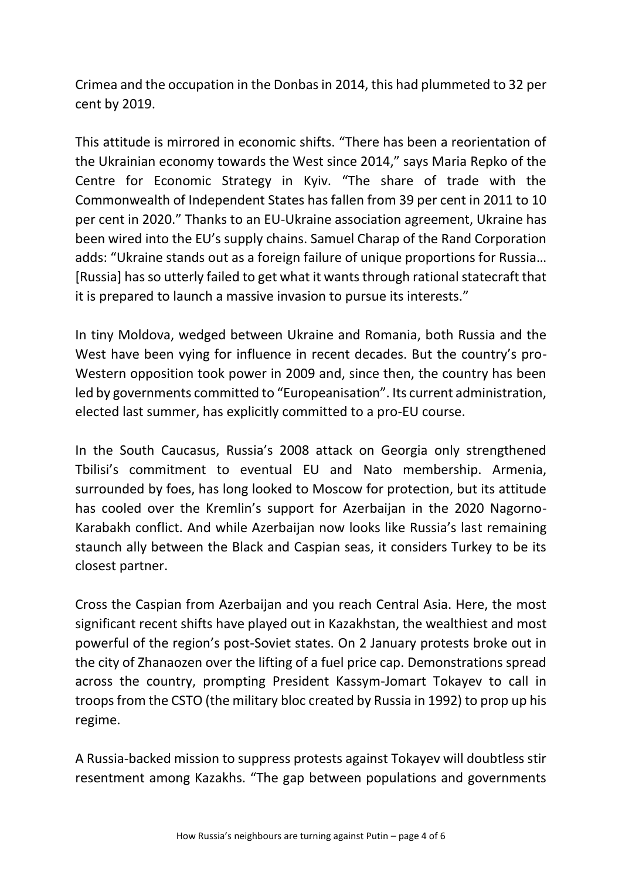Crimea and the occupation in the Donbas in 2014, this had plummeted to 32 per cent by 2019.

This attitude is mirrored in economic shifts. "There has been a reorientation of the Ukrainian economy towards the West since 2014," says Maria Repko of the Centre for Economic Strategy in Kyiv. "The share of trade with the Commonwealth of Independent States has fallen from 39 per cent in 2011 to 10 per cent in 2020." Thanks to an EU-Ukraine association agreement, Ukraine has been wired into the EU's supply chains. Samuel Charap of the Rand Corporation adds: "Ukraine stands out as a foreign failure of unique proportions for Russia… [Russia] has so utterly failed to get what it wants through rational statecraft that it is prepared to launch a massive invasion to pursue its interests."

In tiny Moldova, wedged between Ukraine and Romania, both Russia and the West have been vying for influence in recent decades. But the country's pro-Western opposition took power in 2009 and, since then, the country has been led by governments committed to "Europeanisation". Its current administration, elected last summer, has explicitly committed to a pro-EU course.

In the South Caucasus, Russia's 2008 attack on Georgia only strengthened Tbilisi's commitment to eventual EU and Nato membership. Armenia, surrounded by foes, has long looked to Moscow for protection, but its attitude has cooled over the Kremlin's support for Azerbaijan in the 2020 Nagorno-Karabakh conflict. And while Azerbaijan now looks like Russia's last remaining staunch ally between the Black and Caspian seas, it considers Turkey to be its closest partner.

Cross the Caspian from Azerbaijan and you reach Central Asia. Here, the most significant recent shifts have played out in Kazakhstan, the wealthiest and most powerful of the region's post-Soviet states. On 2 January protests broke out in the city of Zhanaozen over the lifting of a fuel price cap. Demonstrations spread across the country, prompting President Kassym-Jomart Tokayev to call in troops from the CSTO (the military bloc created by Russia in 1992) to prop up his regime.

A Russia-backed mission to suppress protests against Tokayev will doubtless stir resentment among Kazakhs. "The gap between populations and governments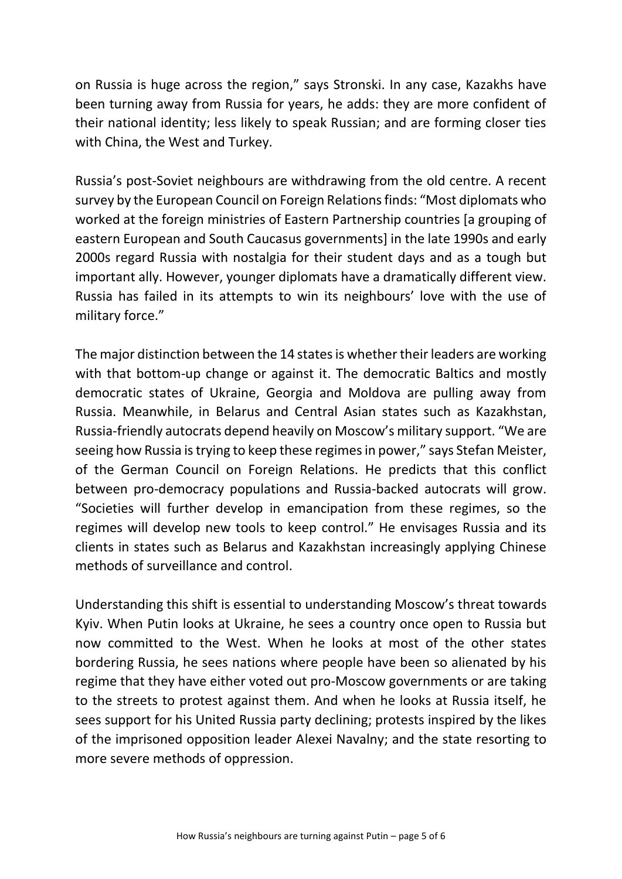on Russia is huge across the region," says Stronski. In any case, Kazakhs have been turning away from Russia for years, he adds: they are more confident of their national identity; less likely to speak Russian; and are forming closer ties with China, the West and Turkey.

Russia's post-Soviet neighbours are withdrawing from the old centre. A recent survey by the European Council on Foreign Relations finds: "Most diplomats who worked at the foreign ministries of Eastern Partnership countries [a grouping of eastern European and South Caucasus governments] in the late 1990s and early 2000s regard Russia with nostalgia for their student days and as a tough but important ally. However, younger diplomats have a dramatically different view. Russia has failed in its attempts to win its neighbours' love with the use of military force."

The major distinction between the 14 states is whether their leaders are working with that bottom-up change or against it. The democratic Baltics and mostly democratic states of Ukraine, Georgia and Moldova are pulling away from Russia. Meanwhile, in Belarus and Central Asian states such as Kazakhstan, Russia-friendly autocrats depend heavily on Moscow's military support. "We are seeing how Russia is trying to keep these regimes in power," says Stefan Meister, of the German Council on Foreign Relations. He predicts that this conflict between pro-democracy populations and Russia-backed autocrats will grow. "Societies will further develop in emancipation from these regimes, so the regimes will develop new tools to keep control." He envisages Russia and its clients in states such as Belarus and Kazakhstan increasingly applying Chinese methods of surveillance and control.

Understanding this shift is essential to understanding Moscow's threat towards Kyiv. When Putin looks at Ukraine, he sees a country once open to Russia but now committed to the West. When he looks at most of the other states bordering Russia, he sees nations where people have been so alienated by his regime that they have either voted out pro-Moscow governments or are taking to the streets to protest against them. And when he looks at Russia itself, he sees support for his United Russia party declining; protests inspired by the likes of the imprisoned opposition leader Alexei Navalny; and the state resorting to more severe methods of oppression.